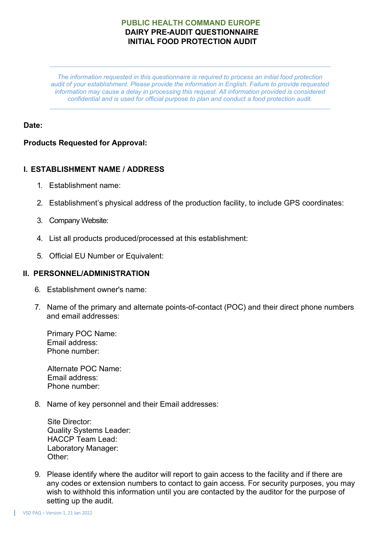*The information requested in this questionnaire is required to process an initial food protection audit of your establishment. Please provide the information in English. Failure to provide requested information may cause a delay in processing this request. All information provided is considered confidential and is used for official purpose to plan and conduct a food protection audit.*

# **Date:**

# **Products Requested for Approval:**

## **I. ESTABLISHMENT NAME / ADDRESS**

- 1. Establishment name:
- 2. Establishment's physical address of the production facility, to include GPS coordinates:
- 3. Company Website:
- 4. List all products produced/processed at this establishment:
- 5. Official EU Number or Equivalent:

#### **II. PERSONNEL/ADMINISTRATION**

- 6. Establishment owner's name:
- 7. Name of the primary and alternate points-of-contact (POC) and their direct phone numbers and email addresses:

Primary POC Name: Email address: Phone number:

Alternate POC Name: Email address: Phone number:

8. Name of key personnel and their Email addresses:

| Site Director:                 |
|--------------------------------|
| <b>Quality Systems Leader:</b> |
| <b>HACCP Team Lead:</b>        |
| Laboratory Manager:            |
| Other:                         |

9. Please identify where the auditor will report to gain access to the facility and if there are any codes or extension numbers to contact to gain access. For security purposes, you may wish to withhold this information until you are contacted by the auditor for the purpose of setting up the audit.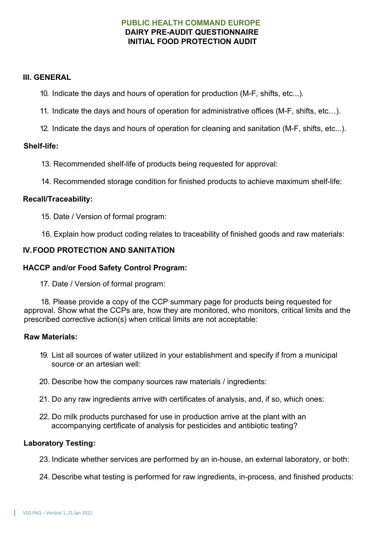### **III. GENERAL**

- 10. Indicate the days and hours of operation for production (M-F, shifts, etc...).
- 11. Indicate the days and hours of operation for administrative offices (M-F, shifts, etc…).
- 12. Indicate the days and hours of operation for cleaning and sanitation (M-F, shifts, etc...).

### **Shelf-life:**

- 13. Recommended shelf-life of products being requested for approval:
- 14. Recommended storage condition for finished products to achieve maximum shelf-life:

### **Recall/Traceability:**

- 15. Date / Version of formal program:
- 16. Explain how product coding relates to traceability of finished goods and raw materials:

## **IV.FOOD PROTECTION AND SANITATION**

### **HACCP and/or Food Safety Control Program:**

17. Date / Version of formal program:

18. Please provide a copy of the CCP summary page for products being requested for approval. Show what the CCPs are, how they are monitored, who monitors, critical limits and the prescribed corrective action(s) when critical limits are not acceptable:

#### **Raw Materials:**

- 19. List all sources of water utilized in your establishment and specify if from a municipal source or an artesian well:
- 20. Describe how the company sources raw materials / ingredients:
- 21. Do any raw ingredients arrive with certificates of analysis, and, if so, which ones:
- 22. Do milk products purchased for use in production arrive at the plant with an accompanying certificate of analysis for pesticides and antibiotic testing?

#### **Laboratory Testing:**

23. Indicate whether services are performed by an in-house, an external laboratory, or both:

24. Describe what testing is performed for raw ingredients, in-process, and finished products: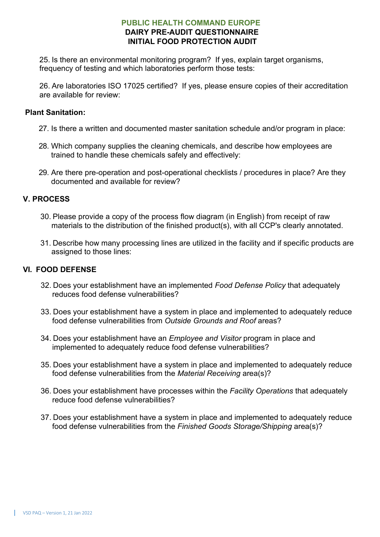25. Is there an environmental monitoring program? If yes, explain target organisms, frequency of testing and which laboratories perform those tests:

26. Are laboratories ISO 17025 certified? If yes, please ensure copies of their accreditation are available for review:

## **Plant Sanitation:**

- 27. Is there a written and documented master sanitation schedule and/or program in place:
- 28. Which company supplies the cleaning chemicals, and describe how employees are trained to handle these chemicals safely and effectively:
- 29. Are there pre-operation and post-operational checklists / procedures in place? Are they documented and available for review?

## **V. PROCESS**

- 30. Please provide a copy of the process flow diagram (in English) from receipt of raw materials to the distribution of the finished product(s), with all CCP's clearly annotated.
- 31. Describe how many processing lines are utilized in the facility and if specific products are assigned to those lines:

### **VI. FOOD DEFENSE**

- 32. Does your establishment have an implemented *Food Defense Policy* that adequately reduces food defense vulnerabilities?
- 33. Does your establishment have a system in place and implemented to adequately reduce food defense vulnerabilities from *Outside Grounds and Roof* areas?
- 34. Does your establishment have an *Employee and Visitor* program in place and implemented to adequately reduce food defense vulnerabilities?
- 35. Does your establishment have a system in place and implemented to adequately reduce food defense vulnerabilities from the *Material Receiving* area(s)?
- 36. Does your establishment have processes within the *Facility Operations* that adequately reduce food defense vulnerabilities?
- 37. Does your establishment have a system in place and implemented to adequately reduce food defense vulnerabilities from the *Finished Goods Storage/Shipping* area(s)?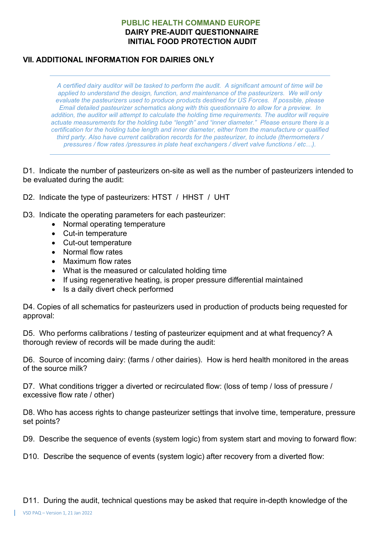# **VII. ADDITIONAL INFORMATION FOR DAIRIES ONLY**

*A certified dairy auditor will be tasked to perform the audit. A significant amount of time will be applied to understand the design, function, and maintenance of the pasteurizers. We will only evaluate the pasteurizers used to produce products destined for US Forces. If possible, please Email detailed pasteurizer schematics along with this questionnaire to allow for a preview. In addition, the auditor will attempt to calculate the holding time requirements. The auditor will require actuate measurements for the holding tube "length" and "inner diameter." Please ensure there is a certification for the holding tube length and inner diameter, either from the manufacture or qualified third party. Also have current calibration records for the pasteurizer, to include (thermometers / pressures / flow rates /pressures in plate heat exchangers / divert valve functions / etc…).*

D1. Indicate the number of pasteurizers on-site as well as the number of pasteurizers intended to be evaluated during the audit:

D2. Indicate the type of pasteurizers: HTST / HHST / UHT

- D3. Indicate the operating parameters for each pasteurizer:
	- Normal operating temperature
	- Cut-in temperature
	- Cut-out temperature
	- Normal flow rates
	- Maximum flow rates
	- What is the measured or calculated holding time
	- If using regenerative heating, is proper pressure differential maintained
	- Is a daily divert check performed

D4. Copies of all schematics for pasteurizers used in production of products being requested for approval:

D5. Who performs calibrations / testing of pasteurizer equipment and at what frequency? A thorough review of records will be made during the audit:

D6. Source of incoming dairy: (farms / other dairies). How is herd health monitored in the areas of the source milk?

D7. What conditions trigger a diverted or recirculated flow: (loss of temp / loss of pressure / excessive flow rate / other)

D8. Who has access rights to change pasteurizer settings that involve time, temperature, pressure set points?

D9. Describe the sequence of events (system logic) from system start and moving to forward flow:

D10. Describe the sequence of events (system logic) after recovery from a diverted flow:

D11. During the audit, technical questions may be asked that require in-depth knowledge of the